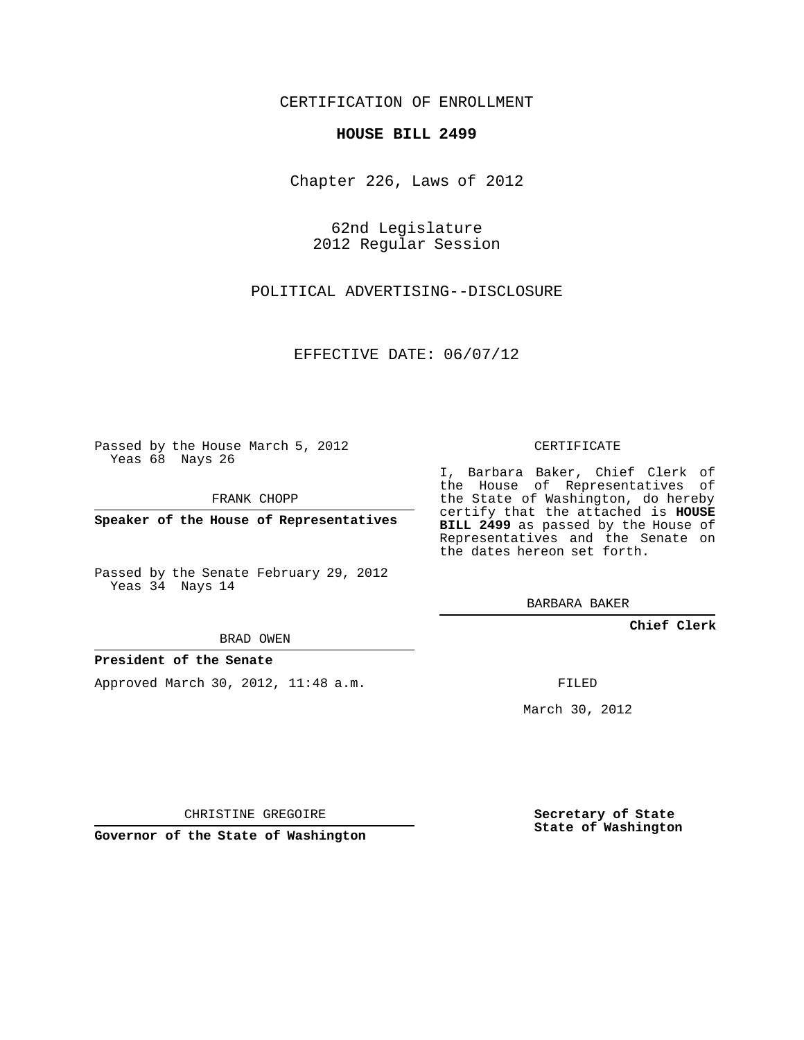CERTIFICATION OF ENROLLMENT

## **HOUSE BILL 2499**

Chapter 226, Laws of 2012

62nd Legislature 2012 Regular Session

POLITICAL ADVERTISING--DISCLOSURE

EFFECTIVE DATE: 06/07/12

Passed by the House March 5, 2012 Yeas 68 Nays 26

FRANK CHOPP

**Speaker of the House of Representatives**

Passed by the Senate February 29, 2012 Yeas 34 Nays 14

BRAD OWEN

### **President of the Senate**

Approved March 30, 2012, 11:48 a.m.

CERTIFICATE

I, Barbara Baker, Chief Clerk of the House of Representatives of the State of Washington, do hereby certify that the attached is **HOUSE BILL 2499** as passed by the House of Representatives and the Senate on the dates hereon set forth.

BARBARA BAKER

**Chief Clerk**

FILED

March 30, 2012

CHRISTINE GREGOIRE

**Governor of the State of Washington**

**Secretary of State State of Washington**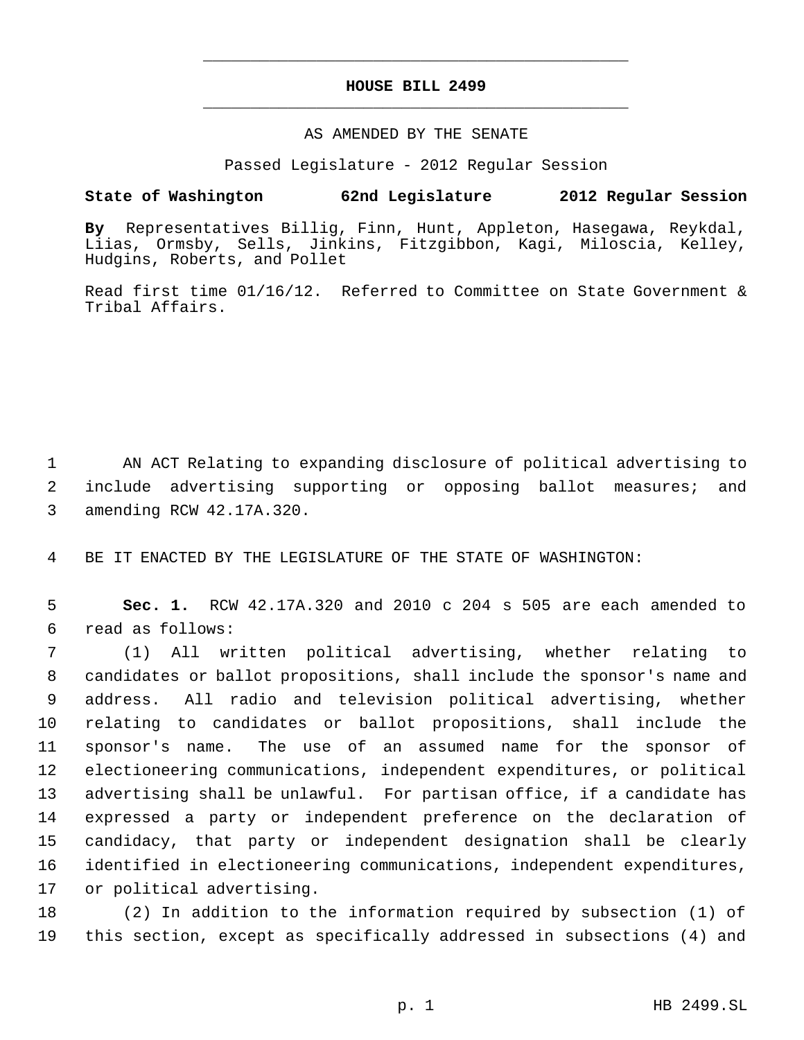# **HOUSE BILL 2499** \_\_\_\_\_\_\_\_\_\_\_\_\_\_\_\_\_\_\_\_\_\_\_\_\_\_\_\_\_\_\_\_\_\_\_\_\_\_\_\_\_\_\_\_\_

\_\_\_\_\_\_\_\_\_\_\_\_\_\_\_\_\_\_\_\_\_\_\_\_\_\_\_\_\_\_\_\_\_\_\_\_\_\_\_\_\_\_\_\_\_

#### AS AMENDED BY THE SENATE

Passed Legislature - 2012 Regular Session

# **State of Washington 62nd Legislature 2012 Regular Session**

**By** Representatives Billig, Finn, Hunt, Appleton, Hasegawa, Reykdal, Liias, Ormsby, Sells, Jinkins, Fitzgibbon, Kagi, Miloscia, Kelley, Hudgins, Roberts, and Pollet

Read first time 01/16/12. Referred to Committee on State Government & Tribal Affairs.

 AN ACT Relating to expanding disclosure of political advertising to include advertising supporting or opposing ballot measures; and amending RCW 42.17A.320.

BE IT ENACTED BY THE LEGISLATURE OF THE STATE OF WASHINGTON:

 **Sec. 1.** RCW 42.17A.320 and 2010 c 204 s 505 are each amended to read as follows:

 (1) All written political advertising, whether relating to candidates or ballot propositions, shall include the sponsor's name and address. All radio and television political advertising, whether relating to candidates or ballot propositions, shall include the sponsor's name. The use of an assumed name for the sponsor of electioneering communications, independent expenditures, or political advertising shall be unlawful. For partisan office, if a candidate has expressed a party or independent preference on the declaration of candidacy, that party or independent designation shall be clearly identified in electioneering communications, independent expenditures, or political advertising.

 (2) In addition to the information required by subsection (1) of this section, except as specifically addressed in subsections (4) and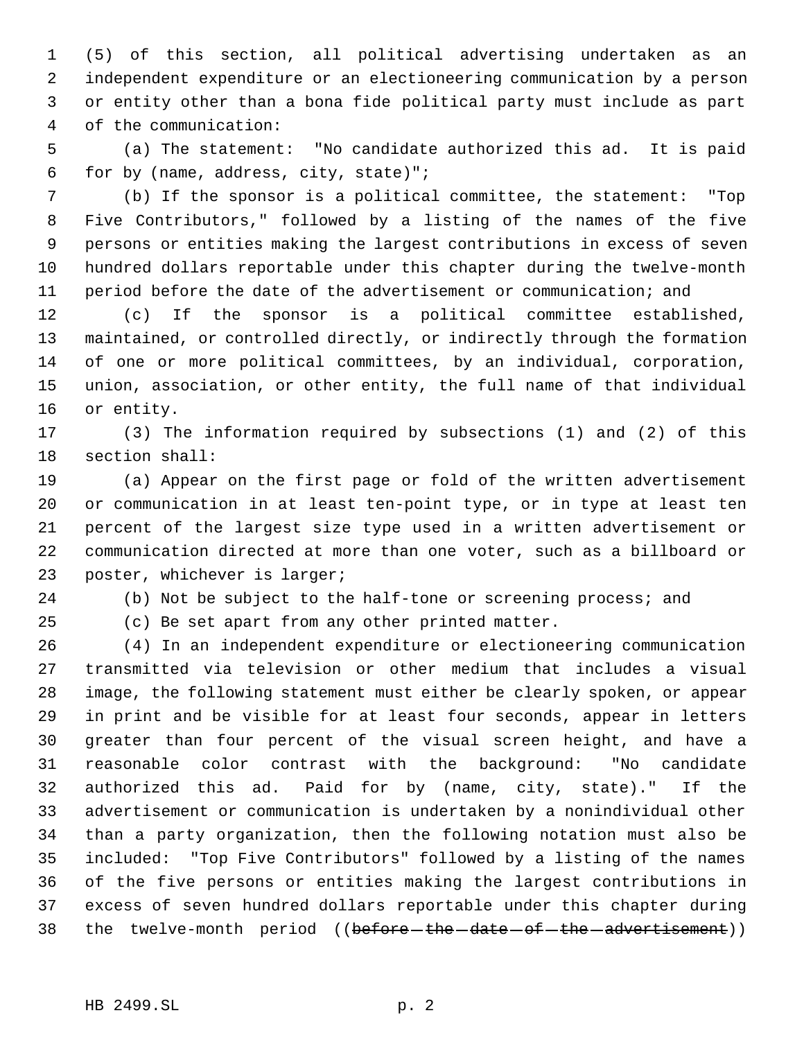(5) of this section, all political advertising undertaken as an independent expenditure or an electioneering communication by a person or entity other than a bona fide political party must include as part of the communication:

 (a) The statement: "No candidate authorized this ad. It is paid for by (name, address, city, state)";

 (b) If the sponsor is a political committee, the statement: "Top Five Contributors," followed by a listing of the names of the five persons or entities making the largest contributions in excess of seven hundred dollars reportable under this chapter during the twelve-month period before the date of the advertisement or communication; and

 (c) If the sponsor is a political committee established, maintained, or controlled directly, or indirectly through the formation of one or more political committees, by an individual, corporation, union, association, or other entity, the full name of that individual or entity.

 (3) The information required by subsections (1) and (2) of this section shall:

 (a) Appear on the first page or fold of the written advertisement or communication in at least ten-point type, or in type at least ten percent of the largest size type used in a written advertisement or communication directed at more than one voter, such as a billboard or poster, whichever is larger;

(b) Not be subject to the half-tone or screening process; and

(c) Be set apart from any other printed matter.

 (4) In an independent expenditure or electioneering communication transmitted via television or other medium that includes a visual image, the following statement must either be clearly spoken, or appear in print and be visible for at least four seconds, appear in letters greater than four percent of the visual screen height, and have a reasonable color contrast with the background: "No candidate authorized this ad. Paid for by (name, city, state)." If the advertisement or communication is undertaken by a nonindividual other than a party organization, then the following notation must also be included: "Top Five Contributors" followed by a listing of the names of the five persons or entities making the largest contributions in excess of seven hundred dollars reportable under this chapter during 38 the twelve-month period ((before the date of the advertisement))